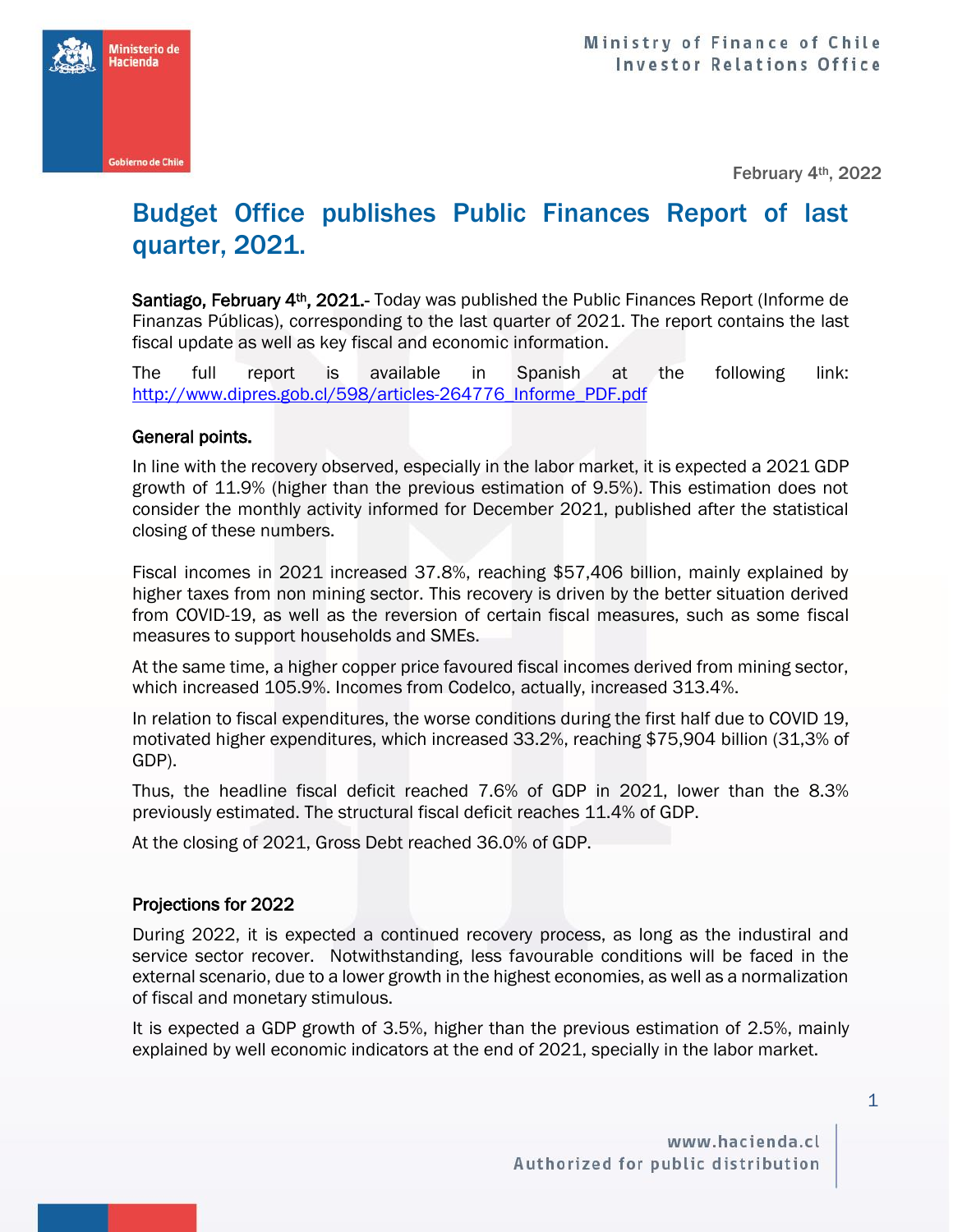**Ministerio de lacienda** 

February 4th, 2022

## Budget Office publishes Public Finances Report of last quarter, 2021.

Santiago, February 4<sup>th</sup>, 2021.- Today was published the Public Finances Report (Informe de Finanzas Públicas), corresponding to the last quarter of 2021. The report contains the last fiscal update as well as key fiscal and economic information.

The full report is available in Spanish at the following link: [http://www.dipres.gob.cl/598/articles-264776\\_Informe\\_PDF.pdf](http://www.dipres.gob.cl/598/articles-264776_Informe_PDF.pdf)

## General points.

In line with the recovery observed, especially in the labor market, it is expected a 2021 GDP growth of 11.9% (higher than the previous estimation of 9.5%). This estimation does not consider the monthly activity informed for December 2021, published after the statistical closing of these numbers.

Fiscal incomes in 2021 increased 37.8%, reaching \$57,406 billion, mainly explained by higher taxes from non mining sector. This recovery is driven by the better situation derived from COVID-19, as well as the reversion of certain fiscal measures, such as some fiscal measures to support households and SMEs.

At the same time, a higher copper price favoured fiscal incomes derived from mining sector, which increased 105.9%. Incomes from Codelco, actually, increased 313.4%.

In relation to fiscal expenditures, the worse conditions during the first half due to COVID 19, motivated higher expenditures, which increased 33.2%, reaching \$75,904 billion (31,3% of GDP).

Thus, the headline fiscal deficit reached 7.6% of GDP in 2021, lower than the 8.3% previously estimated. The structural fiscal deficit reaches 11.4% of GDP.

At the closing of 2021, Gross Debt reached 36.0% of GDP.

## Projections for 2022

During 2022, it is expected a continued recovery process, as long as the industiral and service sector recover. Notwithstanding, less favourable conditions will be faced in the external scenario, due to a lower growth in the highest economies, as well as a normalization of fiscal and monetary stimulous.

It is expected a GDP growth of 3.5%, higher than the previous estimation of 2.5%, mainly explained by well economic indicators at the end of 2021, specially in the labor market.